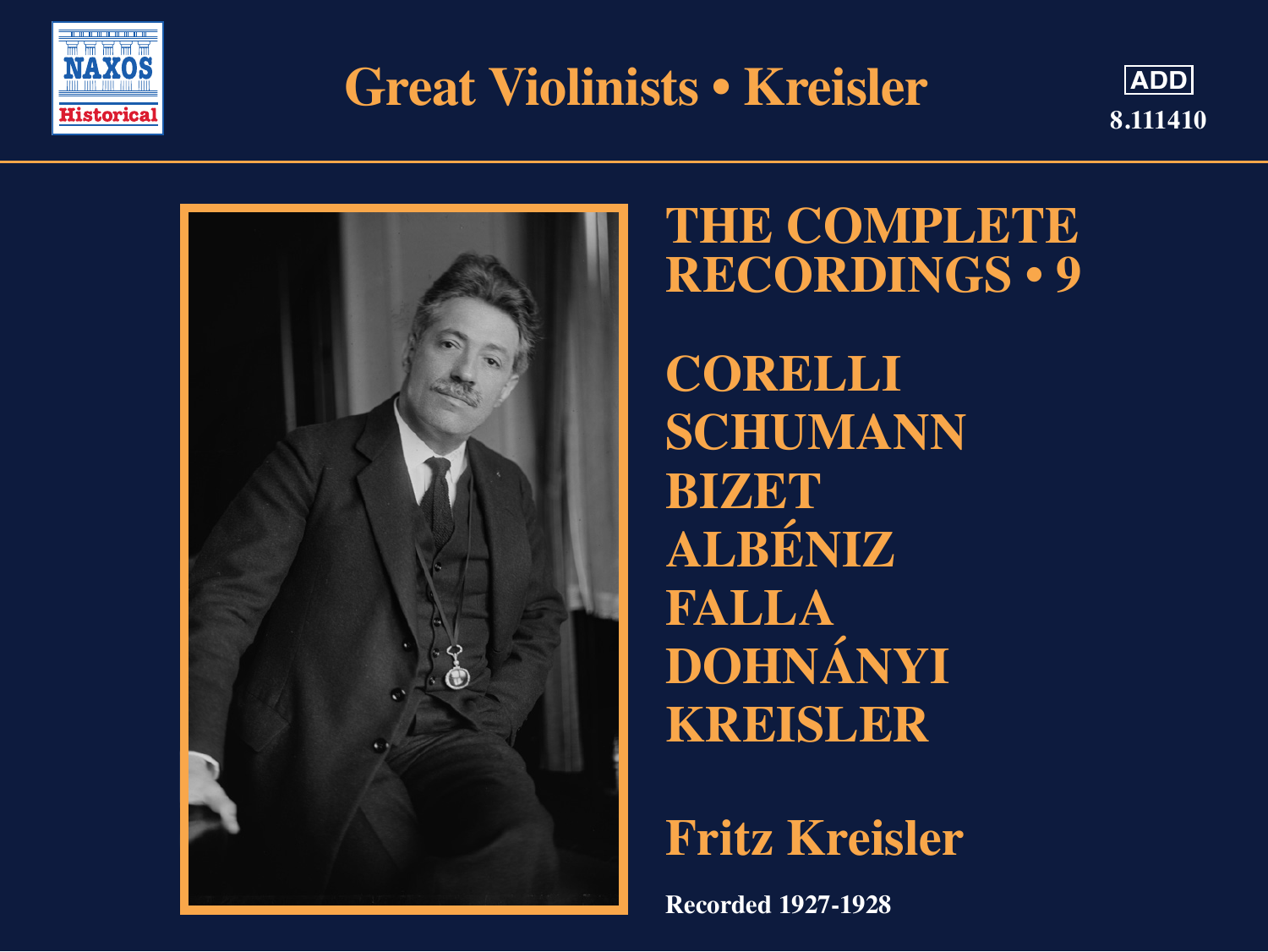

# **Great Violinists • Kreisler**





### **THE COMPLETE RECORDINGS • 9**

**CORELLI SCHUMANN BIZET ALBÉNIZ FALLA DOHNÁNYI KREISLER**

## **Fritz Kreisler**

**Recorded 1927-1928**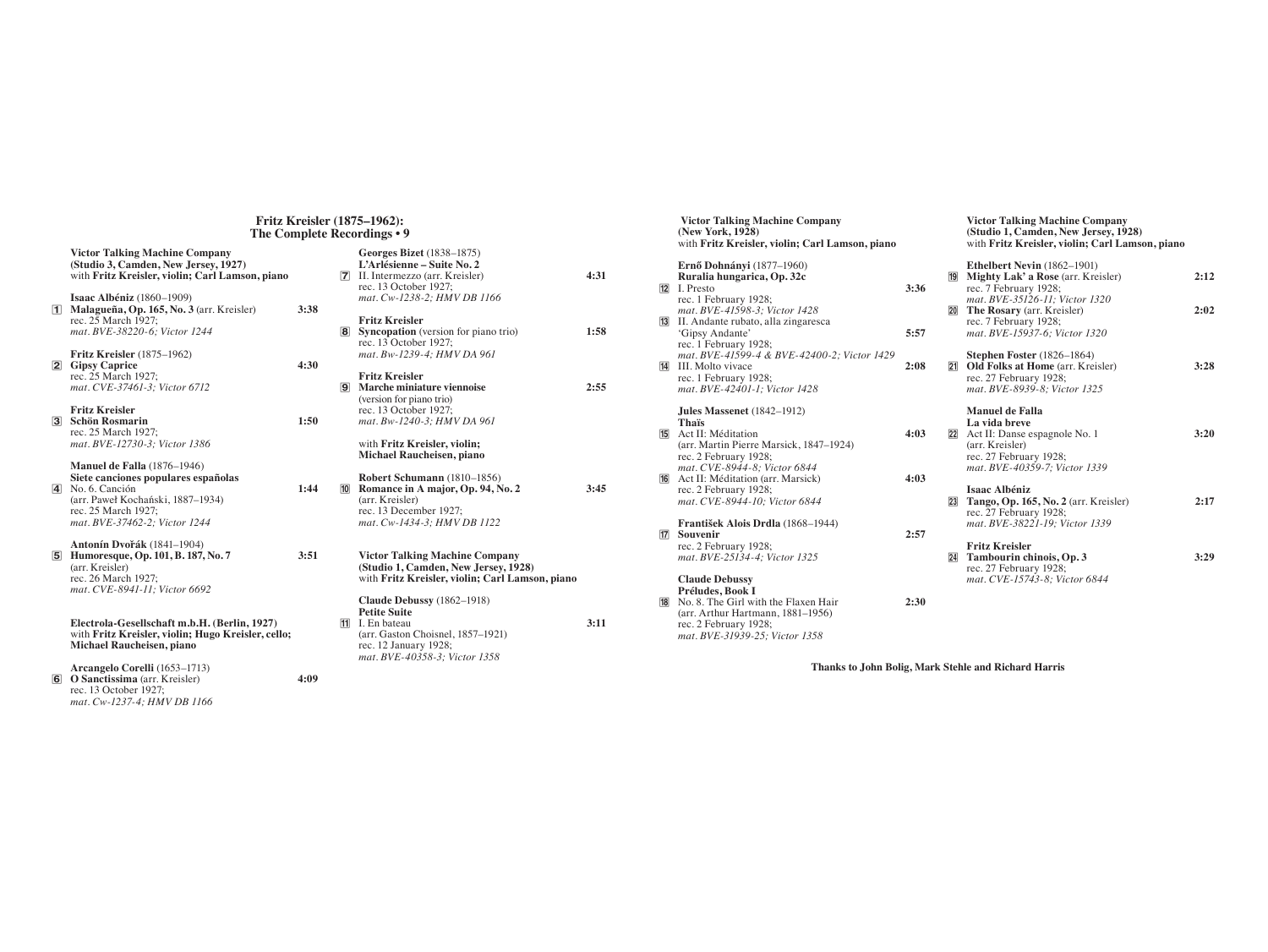#### **Fritz Kreisler (1875–1962): The Complete Recordings • 9**

|  | Victor Talking Machine Company<br>(Studio 3, Camden, New Jersey, 1927)<br>with Fritz Kreisler, violin; Carl Lamson, piano                                 |      |   | <b>Georges Bizet</b> (1838–1875)<br>L'Arlésienne – Suite No. 2<br>7 II. Intermezzo (arr. Kreisler)<br>rec. 13 October 1927; |
|--|-----------------------------------------------------------------------------------------------------------------------------------------------------------|------|---|-----------------------------------------------------------------------------------------------------------------------------|
|  | Isaac Albéniz (1860-1909)<br>1 Malagueña, Op. 165, No. 3 (arr. Kreisler)<br>rec. 25 March 1927:                                                           | 3:38 |   | mat. Cw-1238-2; HMV DB 1.<br><b>Fritz Kreisler</b>                                                                          |
|  | mat. BVE-38220-6: Victor 1244                                                                                                                             |      | 8 | Syncopation (version for pia<br>rec. 13 October 1927;                                                                       |
|  | <b>Fritz Kreisler</b> (1875–1962)<br>2 Gipsy Caprice                                                                                                      | 4:30 |   | mat. Bw-1239-4; HMV DA 9                                                                                                    |
|  | rec. 25 March 1927:<br>mat. CVE-37461-3; Victor 6712                                                                                                      |      |   | <b>Fritz Kreisler</b><br><b>9</b> Marche miniature viennoise<br>(version for piano trio)                                    |
|  | <b>Fritz Kreisler</b><br>3 Schön Rosmarin                                                                                                                 | 1:50 |   | rec. 13 October 1927;<br>mat. Bw-1240-3; HMV DA 9                                                                           |
|  | rec. 25 March 1927:<br>mat. BVE-12730-3; Victor 1386                                                                                                      |      |   | with Fritz Kreisler, violin;<br>Michael Raucheisen, piano                                                                   |
|  | <b>Manuel de Falla</b> (1876-1946)<br>Siete canciones populares españolas<br>4 No. 6. Canción<br>(arr. Paweł Kochański, 1887–1934)<br>rec. 25 March 1927; | 1:44 |   | Robert Schumann (1810-18<br><b>10</b> Romance in A major, Op. 9<br>(arr. Kreisler)<br>rec. 13 December 1927;                |
|  | mat. BVE-37462-2; Victor 1244                                                                                                                             |      |   | mat. Cw-1434-3; HMV DB 1.                                                                                                   |
|  | Antonín Dvořák (1841–1904)<br><b>5</b> Humoresque, Op. 101, B. 187, No. 7<br>(arr. Kreisler)<br>rec. 26 March 1927;<br>mat. CVE-8941-11; Victor 6692      | 3:51 |   | <b>Victor Talking Machine Co</b><br>(Studio 1, Camden, New Jer<br>with Fritz Kreisler, violin; 0                            |
|  |                                                                                                                                                           |      |   | Claude Debussy (1862-1918<br><b>Petite Suite</b>                                                                            |
|  | Electrola-Gesellschaft m.b.H. (Berlin, 1927)<br>with Fritz Kreisler, violin; Hugo Kreisler, cello;<br>Michael Raucheisen, piano                           |      |   | <b>11</b> I. En bateau<br>(arr. Gaston Choisnel, 1857-1<br>rec. 12 January 1928;<br>mat. BVE-40358-3; Victor 13             |
|  | Arcangelo Corelli (1653-1713)<br><b>6</b> O Sanctissima (arr. Kreisler)<br>rec. 13 October 1927;<br>mat. Cw-1237-4; HMV DB 1166                           | 4:09 |   |                                                                                                                             |
|  |                                                                                                                                                           |      |   |                                                                                                                             |

|    | ecorumgs • 9                                                                                                                                                     |      |
|----|------------------------------------------------------------------------------------------------------------------------------------------------------------------|------|
| 7  | <b>Georges Bizet</b> (1838–1875)<br>L'Arlésienne – Suite No. 2<br>II. Intermezzo (arr. Kreisler)<br>rec. 13 October 1927;<br>mat. Cw-1238-2; HMV DB 1166         | 4:31 |
| 8  | <b>Fritz Kreisler</b><br><b>Syncopation</b> (version for piano trio)<br>rec. 13 October 1927;<br>mat. Bw-1239-4: HMV DA 961                                      | 1:58 |
| 9  | <b>Fritz Kreisler</b><br>Marche miniature viennoise<br>(version for piano trio)<br>rec. 13 October 1927;<br>mat. Bw-1240-3; HMV DA 961                           | 2:55 |
|    | with Fritz Kreisler, violin;<br>Michael Raucheisen, piano                                                                                                        |      |
| 10 | Robert Schumann (1810-1856)<br>Romance in A major, Op. 94, No. 2<br>(arr. Kreisler)<br>rec. 13 December 1927;<br>mat. Cw-1434-3; HMV DB 1122                     | 3:45 |
|    | <b>Victor Talking Machine Company</b><br>(Studio 1, Camden, New Jersey, 1928)<br>with Fritz Kreisler, violin; Carl Lamson, piano                                 |      |
| 11 | Claude Debussy (1862-1918)<br><b>Petite Suite</b><br>I. En bateau<br>(arr. Gaston Choisnel, 1857-1921)<br>rec. 12 January 1928;<br>mat. BVE-40358-3; Victor 1358 | 3:11 |

|    | <b>Victor Talking Machine Company</b><br>(New York, 1928)<br>with Fritz Kreisler, violin; Carl Lamson, piano |      | <b>Victor Talking Machine Company</b><br>(Studio 1, Camden, New Jersey, 1928)<br>with Fritz Kreisler, violin; Carl Lamson, piano |      |
|----|--------------------------------------------------------------------------------------------------------------|------|----------------------------------------------------------------------------------------------------------------------------------|------|
|    | Ernő Dohnányi (1877–1960)<br>Ruralia hungarica, Op. 32c                                                      |      | Ethelbert Nevin (1862-1901)<br><b>19</b> Mighty Lak' a Rose (arr. Kreisler)                                                      | 2:12 |
|    | <b>12</b> I. Presto                                                                                          | 3:36 | rec. 7 February 1928;                                                                                                            |      |
|    | rec. 1 February 1928;                                                                                        |      | mat. BVE-35126-11; Victor 1320                                                                                                   | 2:02 |
|    | mat. BVE-41598-3; Victor 1428<br><b>13</b> II. Andante rubato, alla zingaresca                               |      | <b>20</b> The Rosary (arr. Kreisler)<br>rec. 7 February 1928;                                                                    |      |
|    | 'Gipsy Andante'                                                                                              | 5:57 | mat. BVE-15937-6; Victor 1320                                                                                                    |      |
|    | rec. 1 February 1928;                                                                                        |      |                                                                                                                                  |      |
|    | mat. BVE-41599-4 & BVE-42400-2; Victor 1429                                                                  |      | Stephen Foster (1826-1864)                                                                                                       |      |
| 14 | <b>III.</b> Molto vivace                                                                                     | 2:08 | <b>21 Old Folks at Home (arr. Kreisler)</b>                                                                                      | 3:28 |
|    | rec. 1 February 1928;                                                                                        |      | rec. 27 February 1928;                                                                                                           |      |
|    | mat. BVE-42401-1; Victor 1428                                                                                |      | mat. BVE-8939-8; Victor 1325                                                                                                     |      |
|    | Jules Massenet $(1842-1912)$                                                                                 |      | Manuel de Falla                                                                                                                  |      |
|    | Thaïs                                                                                                        |      | La vida breve                                                                                                                    |      |
| 15 | Act II: Méditation                                                                                           | 4:03 | 22 Act II: Danse espagnole No. 1                                                                                                 | 3:20 |
|    | (arr. Martin Pierre Marsick, 1847–1924)                                                                      |      | (arr. Kreisler)                                                                                                                  |      |
|    | rec. 2 February 1928;                                                                                        |      | rec. 27 February 1928;                                                                                                           |      |
|    | mat. CVE-8944-8; Victor 6844                                                                                 |      | mat. BVE-40359-7; Victor 1339                                                                                                    |      |
| 16 | Act II: Méditation (arr. Marsick)<br>rec. 2 February 1928;                                                   | 4:03 | <b>Isaac Albéniz</b>                                                                                                             |      |
|    | mat. CVE-8944-10; Victor 6844                                                                                |      | 23 Tango, Op. 165, No. 2 (arr. Kreisler)                                                                                         | 2:17 |
|    |                                                                                                              |      | rec. 27 February 1928;                                                                                                           |      |
|    | František Alois Drdla (1868-1944)                                                                            |      | mat. BVE-38221-19; Victor 1339                                                                                                   |      |
| 17 | Souvenir                                                                                                     | 2:57 |                                                                                                                                  |      |
|    | rec. 2 February 1928;                                                                                        |      | <b>Fritz Kreisler</b>                                                                                                            |      |
|    | mat. BVE-25134-4; Victor 1325                                                                                |      | 24 Tambourin chinois, Op. 3                                                                                                      | 3:29 |
|    |                                                                                                              |      | rec. 27 February 1928;                                                                                                           |      |
|    | <b>Claude Debussy</b><br>Préludes, Book I                                                                    |      | mat. CVE-15743-8; Victor 6844                                                                                                    |      |
| 18 | No. 8. The Girl with the Flaxen Hair                                                                         | 2:30 |                                                                                                                                  |      |
|    | (arr. Arthur Hartmann, 1881–1956)                                                                            |      |                                                                                                                                  |      |

**Thanks to John Bolig, Mark Stehle and Richard Harris**

 rec. 2 February 1928; *mat. BVE-31939-25; Victor 1358*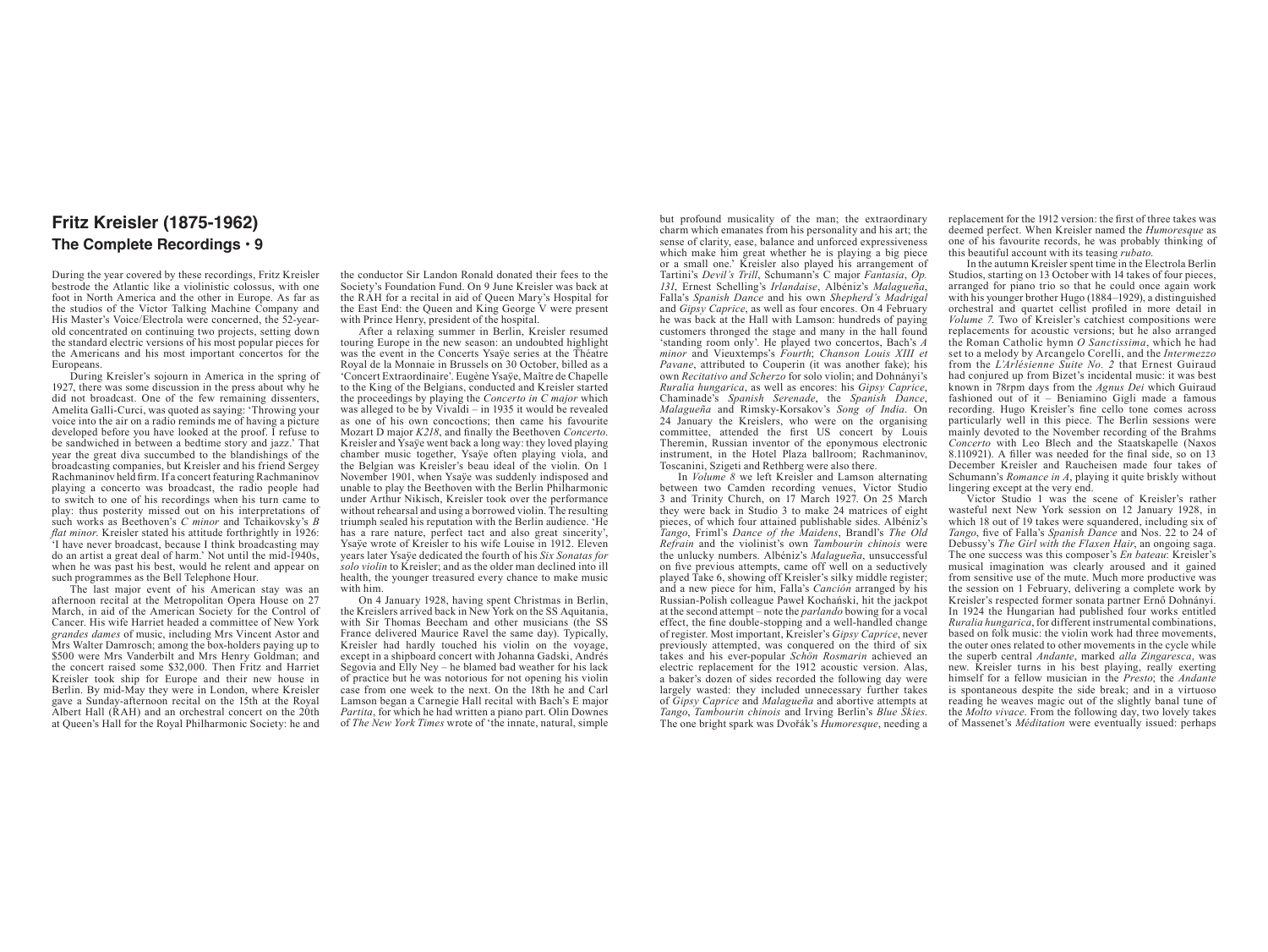### **Fritz Kreisler (1875-1962) The Complete Recordings • 9**

During the year covered by these recordings, Fritz Kreisler bestrode the Atlantic like a violinistic colossus, with one foot in North America and the other in Europe. As far as the studios of the Victor Talking Machine Company and His Master's Voice/Electrola were concerned, the 52-yearold concentrated on continuing two projects, setting down the standard electric versions of his most popular pieces for the Americans and his most important concertos for the Europeans.

During Kreisler's sojourn in America in the spring of 1927, there was some discussion in the press about why he did not broadcast. One of the few remaining dissenters, Amelita Galli-Curci, was quoted as saying: 'Throwing your voice into the air on a radio reminds me of having a picture developed before you have looked at the proof. I refuse to be sandwiched in between a bedtime story and jazz.' That year the great diva succumbed to the blandishings of the broadcasting companies, but Kreisler and his friend Sergey Rachmaninov held firm. If a concert featuring Rachmaninov playing a concerto was broadcast, the radio people had to switch to one of his recordings when his turn came to play: thus posterity missed out on his interpretations of such works as Beethoven's *C minor* and Tchaikovsky's *B flat minor*. Kreisler stated his attitude forthrightly in 1926: 'I have never broadcast, because I think broadcasting may do an artist a great deal of harm.' Not until the mid-1940s, when he was past his best, would he relent and appear on such programmes as the Bell Telephone Hour.

The last major event of his American stay was an afternoon recital at the Metropolitan Opera House on 27 March, in aid of the American Society for the Control of Cancer. His wife Harriet headed a committee of New York *grandes dames* of music, including Mrs Vincent Astor and Mrs Walter Damrosch; among the box-holders paying up to \$500 were Mrs Vanderbilt and Mrs Henry Goldman; and the concert raised some \$32,000. Then Fritz and Harriet Kreisler took ship for Europe and their new house in Berlin. By mid-May they were in London, where Kreisler gave a Sunday-afternoon recital on the 15th at the Royal Albert Hall (RAH) and an orchestral concert on the 20th at Queen's Hall for the Royal Philharmonic Society: he and

the conductor Sir Landon Ronald donated their fees to the Society's Foundation Fund. On 9 June Kreisler was back at the RAH for a recital in aid of Queen Mary's Hospital for the East End: the Queen and King George V were present with Prince Henry, president of the hospital.

After a relaxing summer in Berlin, Kreisler resumed touring Europe in the new season: an undoubted highlight was the event in the Concerts Ysaye series at the Théatre Royal de la Monnaie in Brussels on 30 October, billed as a 'Concert Extraordinaire'. Eugène Ysaÿe, Maître de Chapelle to the King of the Belgians, conducted and Kreisler started the proceedings by playing the *Concerto in C major* which was alleged to be by Vivaldi  $-$  in 1935 it would be revealed as one of his own concoctions; then came his favourite Mozart D major *K218*, and finally the Beethoven *Concerto*. Kreisler and Ysaÿe went back a long way: they loved playing chamber music together, Ysaÿe often playing viola, and the Belgian was Kreisler's beau ideal of the violin. On 1 November 1901, when Ysaye was suddenly indisposed and unable to play the Beethoven with the Berlin Philharmonic under Arthur Nikisch, Kreisler took over the performance without rehearsal and using a borrowed violin. The resulting triumph sealed his reputation with the Berlin audience. 'He has a rare nature, perfect tact and also great sincerity', Ysaÿe wrote of Kreisler to his wife Louise in 1912. Eleven years later Ysaÿe dedicated the fourth of his *Six Sonatas for solo violin* to Kreisler; and as the older man declined into ill health, the younger treasured every chance to make music with him.

On 4 January 1928, having spent Christmas in Berlin, the Kreislers arrived back in New York on the SS Aquitania, with Sir Thomas Beecham and other musicians (the SS France delivered Maurice Ravel the same day). Typically, Kreisler had hardly touched his violin on the voyage, except in a shipboard concert with Johanna Gadski, Andrés Segovia and Elly Ney – he blamed bad weather for his lack of practice but he was notorious for not opening his violin case from one week to the next. On the 18th he and Carl Lamson began a Carnegie Hall recital with Bach's E major *Partita*, for which he had written a piano part. Olin Downes of *The New York Times* wrote of 'the innate, natural, simple but profound musicality of the man; the extraordinary charm which emanates from his personality and his art; the sense of clarity, ease, balance and unforced expressiveness which make him great whether he is playing a big piece or a small one.' Kreisler also played his arrangement of Tartini's *Devil's Trill*, Schumann's C major *Fantasia*, *Op. 131*, Ernest Schelling's *Irlandaise*, Albéniz's *Malagueña*, Falla's *Spanish Dance* and his own *Shepherd's Madrigal* and *Gipsy Caprice*, as well as four encores. On 4 February he was back at the Hall with Lamson: hundreds of paying customers thronged the stage and many in the hall found 'standing room only'. He played two concertos, Bach's *A minor* and Vieuxtemps's *Fourth*; *Chanson Louis XIII et Pavane*, attributed to Couperin (it was another fake); his own *Recitativo and Scherzo* for solo violin; and Dohnányi's *Ruralia hungarica*, as well as encores: his *Gipsy Caprice*, Chaminade's *Spanish Serenade*, the *Spanish Dance*, *Malagueña* and Rimsky-Korsakov's *Song of India*. On 24 January the Kreislers, who were on the organising committee, attended the first US concert by Louis Theremin, Russian inventor of the eponymous electronic instrument, in the Hotel Plaza ballroom; Rachmaninov, Toscanini, Szigeti and Rethberg were also there.

In *Volume 8* we left Kreisler and Lamson alternating between two Camden recording venues, Victor Studio 3 and Trinity Church, on 17 March 1927. On 25 March they were back in Studio 3 to make 24 matrices of eight pieces, of which four attained publishable sides. Albéniz's *Tango*, Friml's *Dance of the Maidens*, Brandl's *The Old Refrain* and the violinist's own *Tambourin chinois* were the unlucky numbers. Albéniz's *Malagueña*, unsuccessful on five previous attempts, came off well on a seductively played Take 6, showing off Kreisler's silky middle register; and a new piece for him, Falla's *Canción* arranged by his Russian-Polish colleague Paweł Kochański, hit the jackpot at the second attempt – note the *parlando* bowing for a vocal effect, the fine double-stopping and a well-handled change of register. Most important, Kreisler's *Gipsy Caprice*, never previously attempted, was conquered on the third of six takes and his ever-popular *Schön Rosmarin* achieved an electric replacement for the 1912 acoustic version. Alas, a baker's dozen of sides recorded the following day were largely wasted: they included unnecessary further takes of *Gipsy Caprice* and *Malagueña* and abortive attempts at *Tango*, *Tambourin chinois* and Irving Berlin's *Blue Skies*. The one bright spark was Dvořák's *Humoresque*, needing a replacement for the 1912 version: the first of three takes was deemed perfect. When Kreisler named the *Humoresque* as one of his favourite records, he was probably thinking of this beautiful account with its teasing *rubato*.

In the autumn Kreisler spent time in the Electrola Berlin Studios, starting on 13 October with 14 takes of four pieces, arranged for piano trio so that he could once again work with his younger brother Hugo (1884–1929), a distinguished orchestral and quartet cellist profiled in more detail in *Volume 7*. Two of Kreisler's catchiest compositions were replacements for acoustic versions; but he also arranged the Roman Catholic hymn *O Sanctissima*, which he had set to a melody by Arcangelo Corelli, and the *Intermezzo* from the *L'Arlésienne Suite No. 2* that Ernest Guiraud had conjured up from Bizet's incidental music: it was best known in 78rpm days from the *Agnus Dei* which Guiraud fashioned out of it – Beniamino Gigli made a famous recording. Hugo Kreisler's fine cello tone comes across particularly well in this piece. The Berlin sessions were mainly devoted to the November recording of the Brahms *Concerto* with Leo Blech and the Staatskapelle (Naxos 8.110921). A filler was needed for the final side, so on 13 December Kreisler and Raucheisen made four takes of Schumann's *Romance in A*, playing it quite briskly without lingering except at the very end.

Victor Studio 1 was the scene of Kreisler's rather wasteful next New York session on 12 January 1928, in which 18 out of 19 takes were squandered, including six of *Tango*, five of Falla's *Spanish Dance* and Nos. 22 to 24 of Debussy's *The Girl with the Flaxen Hair*, an ongoing saga. The one success was this composer's *En bateau*: Kreisler's musical imagination was clearly aroused and it gained from sensitive use of the mute. Much more productive was the session on 1 February, delivering a complete work by Kreisler's respected former sonata partner Ernő Dohnányi. In 1924 the Hungarian had published four works entitled *Ruralia hungarica*, for different instrumental combinations, based on folk music: the violin work had three movements, the outer ones related to other movements in the cycle while the superb central *Andante*, marked *alla Zingaresca*, was new. Kreisler turns in his best playing, really exerting himself for a fellow musician in the *Presto*; the *Andante* is spontaneous despite the side break; and in a virtuoso reading he weaves magic out of the slightly banal tune of the *Molto vivace*. From the following day, two lovely takes of Massenet's *Méditation* were eventually issued: perhaps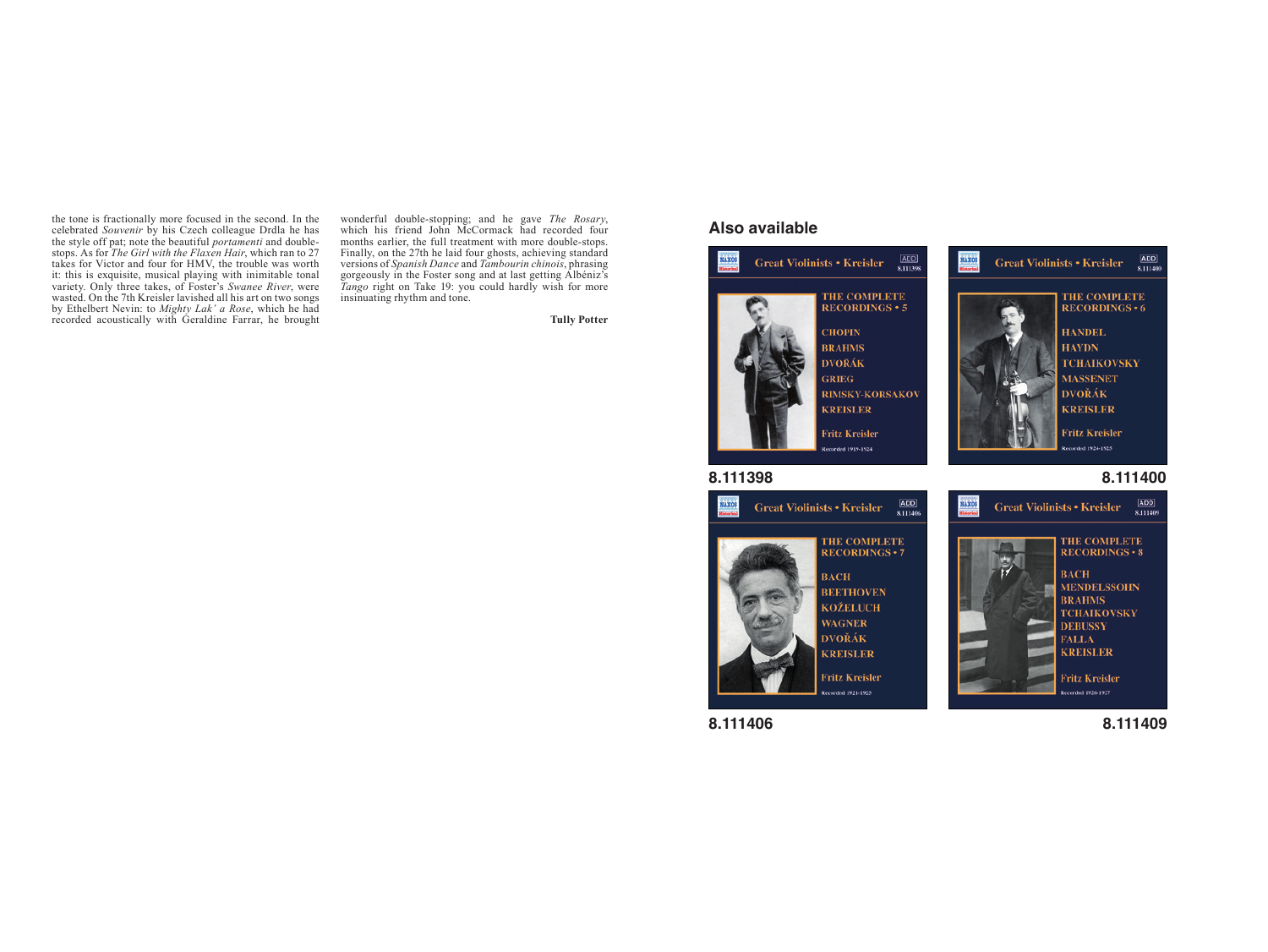the tone is fractionally more focused in the second. In the celebrated *Souvenir* by his Czech colleague Drdla he has the style off pat; note the beautiful *portamenti* and doublestops. As for *The Girl with the Flaxen Hair*, which ran to 27 takes for Victor and four for HMV, the trouble was worth it: this is exquisite, musical playing with inimitable tonal variety. Only three takes, of Foster's *Swanee River*, were wasted. On the 7th Kreisler lavished all his art on two songs by Ethelbert Nevin: to *Mighty Lak' a Rose*, which he had recorded acoustically with Geraldine Farrar, he brought

wonderful double-stopping; and he gave *The Rosary*, which his friend John McCormack had recorded four months earlier, the full treatment with more double-stops. Finally, on the 27th he laid four ghosts, achieving standard versions of *Spanish Dance* and *Tambourin chinois*, phrasing gorgeously in the Foster song and at last getting Albéniz's *Tango* right on Take 19: you could hardly wish for more insinuating rhythm and tone.

**Tully Potter**

#### **Also available**



**8.111406**

**8.111409**